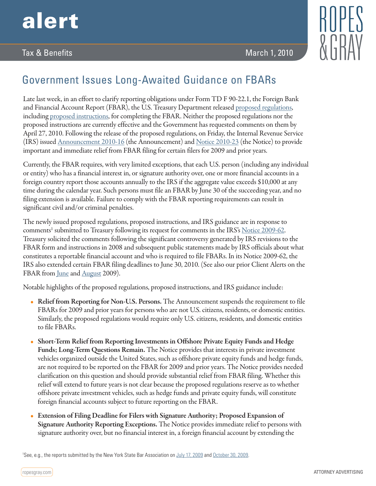

## Tax & Benefits March 1, 2010



## Government Issues Long-Awaited Guidance on FBARs

Late last week, in an effort to clarify reporting obligations under Form TD F 90-22.1, the Foreign Bank and Financial Account Report (FBAR), the U.S. Treasury Department released [proposed regulations](http://www.fincen.gov/statutes_regs/frn/pdf/2010-4042.pdf), including [proposed instructions](http://www.fincen.gov/statutes_regs/frn/pdf/2010-4042.pdf), for completing the FBAR. Neither the proposed regulations nor the proposed instructions are currently effective and the Government has requested comments on them by April 27, 2010. Following the release of the proposed regulations, on Friday, the Internal Revenue Service (IRS) issued [Announcement 2010-16](http://www.irs.gov/pub/irs-drop/a-10-16.pdf) (the Announcement) and [Notice 2010-23](http://www.irs.gov/pub/irs-drop/n-10-23.pdf) (the Notice) to provide important and immediate relief from FBAR filing for certain filers for 2009 and prior years.

Currently, the FBAR requires, with very limited exceptions, that each U.S. person (including any individual or entity) who has a financial interest in, or signature authority over, one or more financial accounts in a foreign country report those accounts annually to the IRS if the aggregate value exceeds \$10,000 at any time during the calendar year. Such persons must file an FBAR by June 30 of the succeeding year, and no filing extension is available. Failure to comply with the FBAR reporting requirements can result in significant civil and/or criminal penalties.

The newly issued proposed regulations, proposed instructions, and IRS guidance are in response to comments<sup>1</sup> submitted to Treasury following its request for comments in the IRS's <u>[Notice 2009-62](http://www.irs.gov/pub/irs-drop/n-09-62.pdf)</u>. Treasury solicited the comments following the significant controversy generated by IRS revisions to the FBAR form and instructions in 2008 and subsequent public statements made by IRS officials about what constitutes a reportable financial account and who is required to file FBARs. In its Notice 2009-62, the IRS also extended certain FBAR filing deadlines to June 30, 2010. (See also our prior Client Alerts on the FBAR from <u>June</u> and **August** 2009).

Notable highlights of the proposed regulations, proposed instructions, and IRS guidance include:

- Relief from Reporting for Non-U.S. Persons. The Announcement suspends the requirement to file FBARs for 2009 and prior years for persons who are not U.S. citizens, residents, or domestic entities. Similarly, the proposed regulations would require only U.S. citizens, residents, and domestic entities to file FBARs.
- Short-Term Relief from Reporting Investments in Offshore Private Equity Funds and Hedge Funds; Long-Term Questions Remain. The Notice provides that interests in private investment vehicles organized outside the United States, such as offshore private equity funds and hedge funds, are not required to be reported on the FBAR for 2009 and prior years. The Notice provides needed clarification on this question and should provide substantial relief from FBAR filing. Whether this relief will extend to future years is not clear because the proposed regulations reserve as to whether offshore private investment vehicles, such as hedge funds and private equity funds, will constitute foreign financial accounts subject to future reporting on the FBAR.
- Extension of Filing Deadline for Filers with Signature Authority; Proposed Expansion of Signature Authority Reporting Exceptions. The Notice provides immediate relief to persons with signature authority over, but no financial interest in, a foreign financial account by extending the

1 See, e.g., the reports submitted by the New York State Bar Association on [July 17, 2009](http://www.nysba.org/AM/Template.cfm?Section=Tax_Section_Reports_2009&TEMPLATE=/CM/ContentDisplay.cfm&CONTENTID=29755) and [October 30, 2009.](http://www.nysba.org/Content/ContentFolders20/TaxLawSection/TaxReports/1194Rpt.pdf)